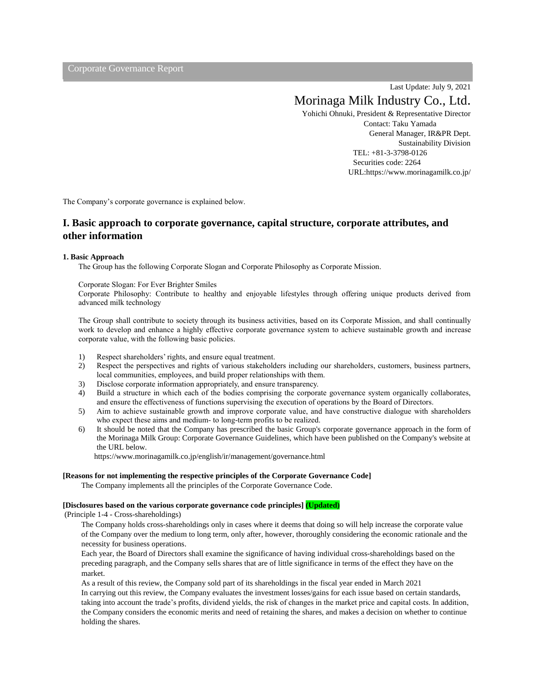Corporate Governance Report

Last Update: July 9, 2021

# Morinaga Milk Industry Co., Ltd.

Yohichi Ohnuki, President & Representative Director Contact: Taku Yamada General Manager, IR&PR Dept. Sustainability Division TEL: +81-3-3798-0126 Securities code: 2264 URL:https://www.morinagamilk.co.jp/

The Company's corporate governance is explained below.

# **I. Basic approach to corporate governance, capital structure, corporate attributes, and other information**

#### **1. Basic Approach**

The Group has the following Corporate Slogan and Corporate Philosophy as Corporate Mission.

#### Corporate Slogan: For Ever Brighter Smiles

Corporate Philosophy: Contribute to healthy and enjoyable lifestyles through offering unique products derived from advanced milk technology

The Group shall contribute to society through its business activities, based on its Corporate Mission, and shall continually work to develop and enhance a highly effective corporate governance system to achieve sustainable growth and increase corporate value, with the following basic policies.

- 1) Respect shareholders' rights, and ensure equal treatment.
- 2) Respect the perspectives and rights of various stakeholders including our shareholders, customers, business partners, local communities, employees, and build proper relationships with them.
- 3) Disclose corporate information appropriately, and ensure transparency.
- 4) Build a structure in which each of the bodies comprising the corporate governance system organically collaborates, and ensure the effectiveness of functions supervising the execution of operations by the Board of Directors.
- 5) Aim to achieve sustainable growth and improve corporate value, and have constructive dialogue with shareholders who expect these aims and medium- to long-term profits to be realized.
- 6) It should be noted that the Company has prescribed the basic Group's corporate governance approach in the form of the Morinaga Milk Group: Corporate Governance Guidelines, which have been published on the Company's website at the URL below.

https://www.morinagamilk.co.jp/english/ir/management/governance.html

#### **[Reasons for not implementing the respective principles of the Corporate Governance Code]**

The Company implements all the principles of the Corporate Governance Code.

#### **[Disclosures based on the various corporate governance code principles] (Updated)**

(Principle 1-4 - Cross-shareholdings)

The Company holds cross-shareholdings only in cases where it deems that doing so will help increase the corporate value of the Company over the medium to long term, only after, however, thoroughly considering the economic rationale and the necessity for business operations.

Each year, the Board of Directors shall examine the significance of having individual cross-shareholdings based on the preceding paragraph, and the Company sells shares that are of little significance in terms of the effect they have on the market.

As a result of this review, the Company sold part of its shareholdings in the fiscal year ended in March 2021 In carrying out this review, the Company evaluates the investment losses/gains for each issue based on certain standards, taking into account the trade's profits, dividend yields, the risk of changes in the market price and capital costs. In addition, the Company considers the economic merits and need of retaining the shares, and makes a decision on whether to continue holding the shares.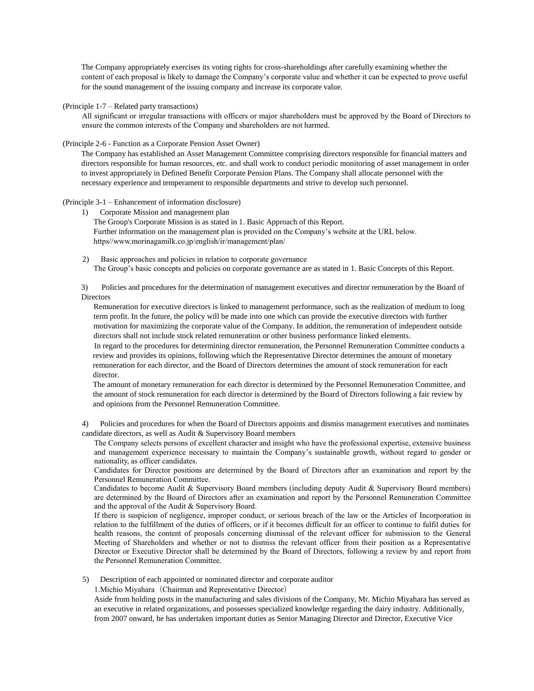The Company appropriately exercises its voting rights for cross-shareholdings after carefully examining whether the content of each proposal is likely to damage the Company's corporate value and whether it can be expected to prove useful for the sound management of the issuing company and increase its corporate value.

(Principle 1-7 – Related party transactions)

All significant or irregular transactions with officers or major shareholders must be approved by the Board of Directors to ensure the common interests of the Company and shareholders are not harmed.

#### (Principle 2-6 - Function as a Corporate Pension Asset Owner)

The Company has established an Asset Management Committee comprising directors responsible for financial matters and directors responsible for human resources, etc. and shall work to conduct periodic monitoring of asset management in order to invest appropriately in Defined Benefit Corporate Pension Plans. The Company shall allocate personnel with the necessary experience and temperament to responsible departments and strive to develop such personnel.

#### (Principle 3-1 – Enhancement of information disclosure)

1) Corporate Mission and management plan

The Group's Corporate Mission is as stated in 1. Basic Approach of this Report. Further information on the management plan is provided on the Company's website at the URL below. https//www.morinagamilk.co.jp/english/ir/management/plan/

2) Basic approaches and policies in relation to corporate governance The Group's basic concepts and policies on corporate governance are as stated in 1. Basic Concepts of this Report.

3) Policies and procedures for the determination of management executives and director remuneration by the Board of **Directors** 

Remuneration for executive directors is linked to management performance, such as the realization of medium to long term profit. In the future, the policy will be made into one which can provide the executive directors with further motivation for maximizing the corporate value of the Company. In addition, the remuneration of independent outside directors shall not include stock related remuneration or other business performance linked elements.

In regard to the procedures for determining director remuneration, the Personnel Remuneration Committee conducts a review and provides its opinions, following which the Representative Director determines the amount of monetary remuneration for each director, and the Board of Directors determines the amount of stock remuneration for each director.

The amount of monetary remuneration for each director is determined by the Personnel Remuneration Committee, and the amount of stock remuneration for each director is determined by the Board of Directors following a fair review by and opinions from the Personnel Remuneration Committee.

4) Policies and procedures for when the Board of Directors appoints and dismiss management executives and nominates candidate directors, as well as Audit & Supervisory Board members

The Company selects persons of excellent character and insight who have the professional expertise, extensive business and management experience necessary to maintain the Company's sustainable growth, without regard to gender or nationality, as officer candidates.

Candidates for Director positions are determined by the Board of Directors after an examination and report by the Personnel Remuneration Committee.

Candidates to become Audit & Supervisory Board members (including deputy Audit & Supervisory Board members) are determined by the Board of Directors after an examination and report by the Personnel Remuneration Committee and the approval of the Audit & Supervisory Board.

If there is suspicion of negligence, improper conduct, or serious breach of the law or the Articles of Incorporation in relation to the fulfillment of the duties of officers, or if it becomes difficult for an officer to continue to fulfil duties for health reasons, the content of proposals concerning dismissal of the relevant officer for submission to the General Meeting of Shareholders and whether or not to dismiss the relevant officer from their position as a Representative Director or Executive Director shall be determined by the Board of Directors, following a review by and report from the Personnel Remuneration Committee.

5) Description of each appointed or nominated director and corporate auditor

1. Michio Miyahara (Chairman and Representative Director)

Aside from holding posts in the manufacturing and sales divisions of the Company, Mr. Michio Miyahara has served as an executive in related organizations, and possesses specialized knowledge regarding the dairy industry. Additionally, from 2007 onward, he has undertaken important duties as Senior Managing Director and Director, Executive Vice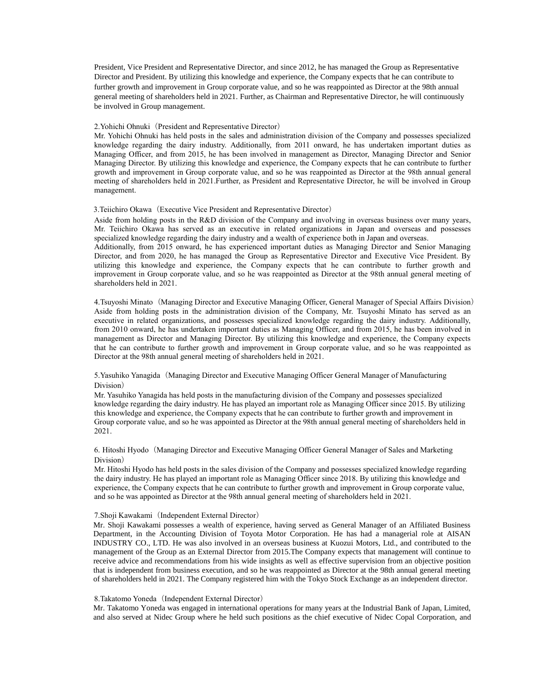President, Vice President and Representative Director, and since 2012, he has managed the Group as Representative Director and President. By utilizing this knowledge and experience, the Company expects that he can contribute to further growth and improvement in Group corporate value, and so he was reappointed as Director at the 98th annual general meeting of shareholders held in 2021. Further, as Chairman and Representative Director, he will continuously be involved in Group management.

#### 2. Yohichi Ohnuki (President and Representative Director)

Mr. Yohichi Ohnuki has held posts in the sales and administration division of the Company and possesses specialized knowledge regarding the dairy industry. Additionally, from 2011 onward, he has undertaken important duties as Managing Officer, and from 2015, he has been involved in management as Director, Managing Director and Senior Managing Director. By utilizing this knowledge and experience, the Company expects that he can contribute to further growth and improvement in Group corporate value, and so he was reappointed as Director at the 98th annual general meeting of shareholders held in 2021.Further, as President and Representative Director, he will be involved in Group management.

3.Teiichiro Okawa(Executive Vice President and Representative Director)

Aside from holding posts in the R&D division of the Company and involving in overseas business over many years, Mr. Teiichiro Okawa has served as an executive in related organizations in Japan and overseas and possesses specialized knowledge regarding the dairy industry and a wealth of experience both in Japan and overseas.

Additionally, from 2015 onward, he has experienced important duties as Managing Director and Senior Managing Director, and from 2020, he has managed the Group as Representative Director and Executive Vice President. By utilizing this knowledge and experience, the Company expects that he can contribute to further growth and improvement in Group corporate value, and so he was reappointed as Director at the 98th annual general meeting of shareholders held in 2021.

4.Tsuyoshi Minato (Managing Director and Executive Managing Officer, General Manager of Special Affairs Division) Aside from holding posts in the administration division of the Company, Mr. Tsuyoshi Minato has served as an executive in related organizations, and possesses specialized knowledge regarding the dairy industry. Additionally, from 2010 onward, he has undertaken important duties as Managing Officer, and from 2015, he has been involved in management as Director and Managing Director. By utilizing this knowledge and experience, the Company expects that he can contribute to further growth and improvement in Group corporate value, and so he was reappointed as Director at the 98th annual general meeting of shareholders held in 2021.

5.Yasuhiko Yanagida(Managing Director and Executive Managing Officer General Manager of Manufacturing Division)

Mr. Yasuhiko Yanagida has held posts in the manufacturing division of the Company and possesses specialized knowledge regarding the dairy industry. He has played an important role as Managing Officer since 2015. By utilizing this knowledge and experience, the Company expects that he can contribute to further growth and improvement in Group corporate value, and so he was appointed as Director at the 98th annual general meeting of shareholders held in 2021.

6. Hitoshi Hyodo (Managing Director and Executive Managing Officer General Manager of Sales and Marketing Division)

Mr. Hitoshi Hyodo has held posts in the sales division of the Company and possesses specialized knowledge regarding the dairy industry. He has played an important role as Managing Officer since 2018. By utilizing this knowledge and experience, the Company expects that he can contribute to further growth and improvement in Group corporate value, and so he was appointed as Director at the 98th annual general meeting of shareholders held in 2021.

#### 7.Shoji Kawakami(Independent External Director)

Mr. Shoji Kawakami possesses a wealth of experience, having served as General Manager of an Affiliated Business Department, in the Accounting Division of Toyota Motor Corporation. He has had a managerial role at AISAN INDUSTRY CO., LTD. He was also involved in an overseas business at Kuozui Motors, Ltd., and contributed to the management of the Group as an External Director from 2015.The Company expects that management will continue to receive advice and recommendations from his wide insights as well as effective supervision from an objective position that is independent from business execution, and so he was reappointed as Director at the 98th annual general meeting of shareholders held in 2021. The Company registered him with the Tokyo Stock Exchange as an independent director.

#### 8.Takatomo Yoneda (Independent External Director)

Mr. Takatomo Yoneda was engaged in international operations for many years at the Industrial Bank of Japan, Limited, and also served at Nidec Group where he held such positions as the chief executive of Nidec Copal Corporation, and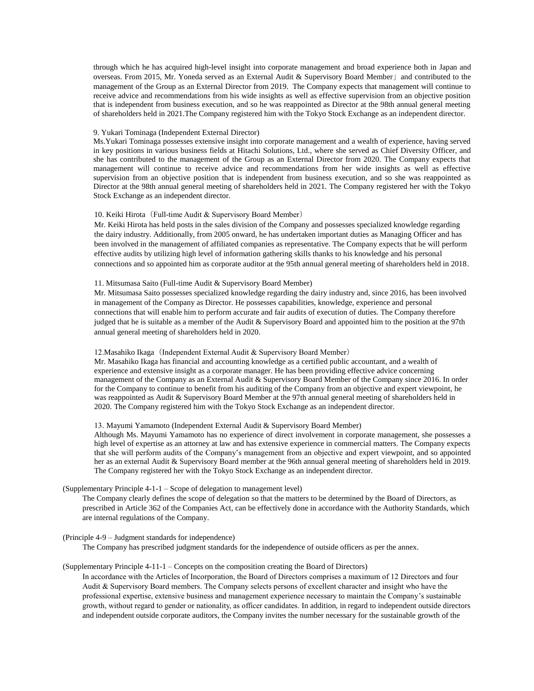through which he has acquired high-level insight into corporate management and broad experience both in Japan and overseas. From 2015, Mr. Yoneda served as an External Audit & Supervisory Board Member」and contributed to the management of the Group as an External Director from 2019. The Company expects that management will continue to receive advice and recommendations from his wide insights as well as effective supervision from an objective position that is independent from business execution, and so he was reappointed as Director at the 98th annual general meeting of shareholders held in 2021.The Company registered him with the Tokyo Stock Exchange as an independent director.

#### 9. Yukari Tominaga (Independent External Director)

Ms.Yukari Tominaga possesses extensive insight into corporate management and a wealth of experience, having served in key positions in various business fields at Hitachi Solutions, Ltd., where she served as Chief Diversity Officer, and she has contributed to the management of the Group as an External Director from 2020. The Company expects that management will continue to receive advice and recommendations from her wide insights as well as effective supervision from an objective position that is independent from business execution, and so she was reappointed as Director at the 98th annual general meeting of shareholders held in 2021. The Company registered her with the Tokyo Stock Exchange as an independent director.

#### 10. Keiki Hirota (Full-time Audit & Supervisory Board Member)

Mr. Keiki Hirota has held posts in the sales division of the Company and possesses specialized knowledge regarding the dairy industry. Additionally, from 2005 onward, he has undertaken important duties as Managing Officer and has been involved in the management of affiliated companies as representative. The Company expects that he will perform effective audits by utilizing high level of information gathering skills thanks to his knowledge and his personal connections and so appointed him as corporate auditor at the 95th annual general meeting of shareholders held in 2018.

#### 11. Mitsumasa Saito (Full-time Audit & Supervisory Board Member)

Mr. Mitsumasa Saito possesses specialized knowledge regarding the dairy industry and, since 2016, has been involved in management of the Company as Director. He possesses capabilities, knowledge, experience and personal connections that will enable him to perform accurate and fair audits of execution of duties. The Company therefore judged that he is suitable as a member of the Audit & Supervisory Board and appointed him to the position at the 97th annual general meeting of shareholders held in 2020.

#### 12. Masahiko Ikaga (Independent External Audit & Supervisory Board Member)

Mr. Masahiko Ikaga has financial and accounting knowledge as a certified public accountant, and a wealth of experience and extensive insight as a corporate manager. He has been providing effective advice concerning management of the Company as an External Audit & Supervisory Board Member of the Company since 2016. In order for the Company to continue to benefit from his auditing of the Company from an objective and expert viewpoint, he was reappointed as Audit & Supervisory Board Member at the 97th annual general meeting of shareholders held in 2020. The Company registered him with the Tokyo Stock Exchange as an independent director.

#### 13. Mayumi Yamamoto (Independent External Audit & Supervisory Board Member)

Although Ms. Mayumi Yamamoto has no experience of direct involvement in corporate management, she possesses a high level of expertise as an attorney at law and has extensive experience in commercial matters. The Company expects that she will perform audits of the Company's management from an objective and expert viewpoint, and so appointed her as an external Audit & Supervisory Board member at the 96th annual general meeting of shareholders held in 2019. The Company registered her with the Tokyo Stock Exchange as an independent director.

#### (Supplementary Principle 4-1-1 – Scope of delegation to management level)

The Company clearly defines the scope of delegation so that the matters to be determined by the Board of Directors, as prescribed in Article 362 of the Companies Act, can be effectively done in accordance with the Authority Standards, which are internal regulations of the Company.

#### (Principle 4-9 – Judgment standards for independence)

The Company has prescribed judgment standards for the independence of outside officers as per the annex.

#### (Supplementary Principle 4-11-1 – Concepts on the composition creating the Board of Directors)

In accordance with the Articles of Incorporation, the Board of Directors comprises a maximum of 12 Directors and four Audit & Supervisory Board members. The Company selects persons of excellent character and insight who have the professional expertise, extensive business and management experience necessary to maintain the Company's sustainable growth, without regard to gender or nationality, as officer candidates. In addition, in regard to independent outside directors and independent outside corporate auditors, the Company invites the number necessary for the sustainable growth of the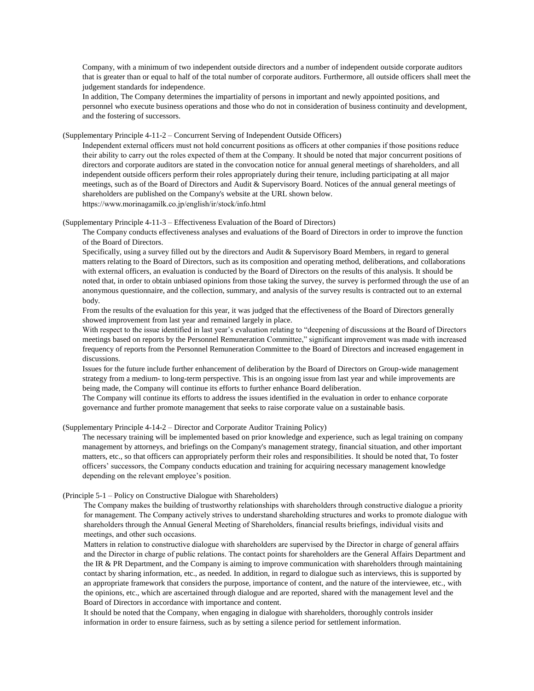Company, with a minimum of two independent outside directors and a number of independent outside corporate auditors that is greater than or equal to half of the total number of corporate auditors. Furthermore, all outside officers shall meet the judgement standards for independence.

In addition, The Company determines the impartiality of persons in important and newly appointed positions, and personnel who execute business operations and those who do not in consideration of business continuity and development, and the fostering of successors.

(Supplementary Principle 4-11-2 – Concurrent Serving of Independent Outside Officers)

Independent external officers must not hold concurrent positions as officers at other companies if those positions reduce their ability to carry out the roles expected of them at the Company. It should be noted that major concurrent positions of directors and corporate auditors are stated in the convocation notice for annual general meetings of shareholders, and all independent outside officers perform their roles appropriately during their tenure, including participating at all major meetings, such as of the Board of Directors and Audit & Supervisory Board. Notices of the annual general meetings of shareholders are published on the Company's website at the URL shown below. https://www.morinagamilk.co.jp/english/ir/stock/info.html

#### (Supplementary Principle 4-11-3 – Effectiveness Evaluation of the Board of Directors)

The Company conducts effectiveness analyses and evaluations of the Board of Directors in order to improve the function of the Board of Directors.

Specifically, using a survey filled out by the directors and Audit & Supervisory Board Members, in regard to general matters relating to the Board of Directors, such as its composition and operating method, deliberations, and collaborations with external officers, an evaluation is conducted by the Board of Directors on the results of this analysis. It should be noted that, in order to obtain unbiased opinions from those taking the survey, the survey is performed through the use of an anonymous questionnaire, and the collection, summary, and analysis of the survey results is contracted out to an external body.

From the results of the evaluation for this year, it was judged that the effectiveness of the Board of Directors generally showed improvement from last year and remained largely in place.

With respect to the issue identified in last year's evaluation relating to "deepening of discussions at the Board of Directors meetings based on reports by the Personnel Remuneration Committee," significant improvement was made with increased frequency of reports from the Personnel Remuneration Committee to the Board of Directors and increased engagement in discussions.

Issues for the future include further enhancement of deliberation by the Board of Directors on Group-wide management strategy from a medium- to long-term perspective. This is an ongoing issue from last year and while improvements are being made, the Company will continue its efforts to further enhance Board deliberation.

The Company will continue its efforts to address the issues identified in the evaluation in order to enhance corporate governance and further promote management that seeks to raise corporate value on a sustainable basis.

(Supplementary Principle 4-14-2 – Director and Corporate Auditor Training Policy)

The necessary training will be implemented based on prior knowledge and experience, such as legal training on company management by attorneys, and briefings on the Company's management strategy, financial situation, and other important matters, etc., so that officers can appropriately perform their roles and responsibilities. It should be noted that, To foster officers' successors, the Company conducts education and training for acquiring necessary management knowledge depending on the relevant employee's position.

#### (Principle 5-1 – Policy on Constructive Dialogue with Shareholders)

The Company makes the building of trustworthy relationships with shareholders through constructive dialogue a priority for management. The Company actively strives to understand shareholding structures and works to promote dialogue with shareholders through the Annual General Meeting of Shareholders, financial results briefings, individual visits and meetings, and other such occasions.

Matters in relation to constructive dialogue with shareholders are supervised by the Director in charge of general affairs and the Director in charge of public relations. The contact points for shareholders are the General Affairs Department and the IR & PR Department, and the Company is aiming to improve communication with shareholders through maintaining contact by sharing information, etc., as needed. In addition, in regard to dialogue such as interviews, this is supported by an appropriate framework that considers the purpose, importance of content, and the nature of the interviewee, etc., with the opinions, etc., which are ascertained through dialogue and are reported, shared with the management level and the Board of Directors in accordance with importance and content.

It should be noted that the Company, when engaging in dialogue with shareholders, thoroughly controls insider information in order to ensure fairness, such as by setting a silence period for settlement information.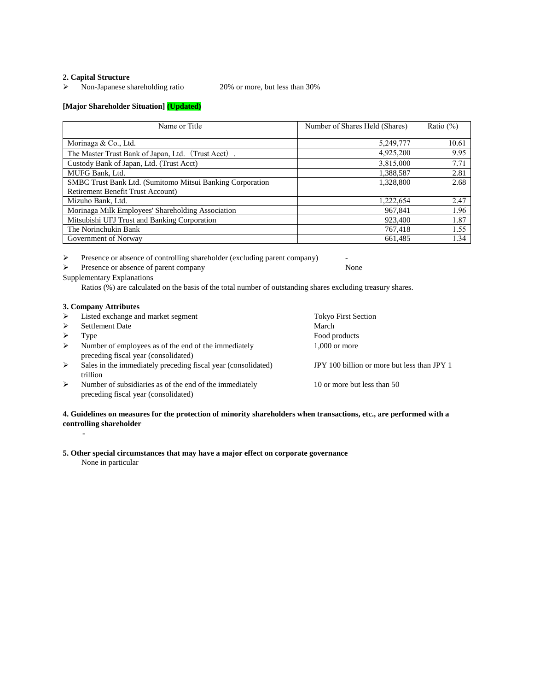#### **2. Capital Structure**

Non-Japanese shareholding ratio 20% or more, but less than 30%

# **[Major Shareholder Situation] (Updated)**

| Name or Title                                             | Number of Shares Held (Shares) | Ratio $(\%)$ |
|-----------------------------------------------------------|--------------------------------|--------------|
| Morinaga & Co., Ltd.                                      | 5,249,777                      | 10.61        |
|                                                           |                                |              |
| The Master Trust Bank of Japan, Ltd. (Trust Acct).        | 4,925,200                      | 9.95         |
| Custody Bank of Japan, Ltd. (Trust Acct)                  | 3,815,000                      | 7.71         |
| MUFG Bank, Ltd.                                           | 1,388,587                      | 2.81         |
| SMBC Trust Bank Ltd. (Sumitomo Mitsui Banking Corporation | 1,328,800                      | 2.68         |
| Retirement Benefit Trust Account)                         |                                |              |
| Mizuho Bank, Ltd.                                         | 1,222,654                      | 2.47         |
| Morinaga Milk Employees' Shareholding Association         | 967,841                        | 1.96         |
| Mitsubishi UFJ Trust and Banking Corporation              | 923,400                        | 1.87         |
| The Norinchukin Bank                                      | 767,418                        | 1.55         |
| Government of Norway                                      | 661,485                        | 1.34         |

 $\triangleright$  Presence or absence of controlling shareholder (excluding parent company)

Presence or absence of parent company None

Supplementary Explanations

Ratios (%) are calculated on the basis of the total number of outstanding shares excluding treasury shares.

#### **3. Company Attributes**

| ➤ | Listed exchange and market segment                                                              | <b>Tokyo First Section</b>                  |
|---|-------------------------------------------------------------------------------------------------|---------------------------------------------|
|   |                                                                                                 |                                             |
| ➤ | Settlement Date                                                                                 | March                                       |
|   | Type                                                                                            | Food products                               |
| ➤ | Number of employees as of the end of the immediately<br>preceding fiscal year (consolidated)    | $1,000$ or more                             |
| ➤ | Sales in the immediately preceding fiscal year (consolidated)<br>trillion                       | JPY 100 billion or more but less than JPY 1 |
| ➤ | Number of subsidiaries as of the end of the immediately<br>preceding fiscal year (consolidated) | 10 or more but less than 50                 |

## **4. Guidelines on measures for the protection of minority shareholders when transactions, etc., are performed with a controlling shareholder**

#### **5. Other special circumstances that may have a major effect on corporate governance**

None in particular

-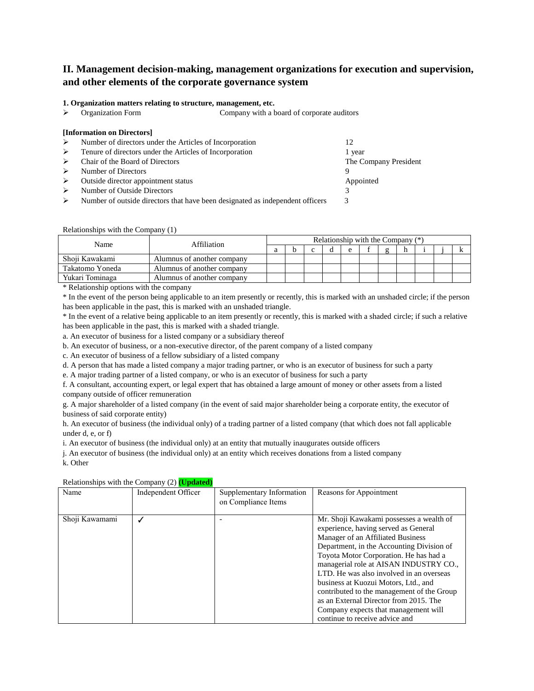# **II. Management decision-making, management organizations for execution and supervision, and other elements of the corporate governance system**

#### **1. Organization matters relating to structure, management, etc.**

Organization Form Company with a board of corporate auditors

#### **[Information on Directors]**

- Number of directors under the Articles of Incorporation 12
- ▶ Tenure of directors under the Articles of Incorporation 1 year Chair of the Board of Directors The Company President  $\triangleright$  Number of Directors 9 ▶ Outside director appointment status Appointed Appointed Appointed Appointed Appointed Appointed Appointed Appointed Appointed Appointed Appointed Appointed Appointed Appointed Appointed Appointed Appointed Appointed App Number of Outside Directors 3 Number of outside directors that have been designated as independent officers  $\frac{3}{2}$

#### Relationships with the Company (1)

| Name            | Affiliation                |  | Relationship with the Company $(*)$ |  |  |  |  |  |  |  |  |  |
|-----------------|----------------------------|--|-------------------------------------|--|--|--|--|--|--|--|--|--|
|                 |                            |  |                                     |  |  |  |  |  |  |  |  |  |
| Shoji Kawakami  | Alumnus of another company |  |                                     |  |  |  |  |  |  |  |  |  |
| Takatomo Yoneda | Alumnus of another company |  |                                     |  |  |  |  |  |  |  |  |  |
| Yukari Tominaga | Alumnus of another company |  |                                     |  |  |  |  |  |  |  |  |  |

\* Relationship options with the company

\* In the event of the person being applicable to an item presently or recently, this is marked with an unshaded circle; if the person has been applicable in the past, this is marked with an unshaded triangle.

\* In the event of a relative being applicable to an item presently or recently, this is marked with a shaded circle; if such a relative has been applicable in the past, this is marked with a shaded triangle.

a. An executor of business for a listed company or a subsidiary thereof

b. An executor of business, or a non-executive director, of the parent company of a listed company

c. An executor of business of a fellow subsidiary of a listed company

d. A person that has made a listed company a major trading partner, or who is an executor of business for such a party

e. A major trading partner of a listed company, or who is an executor of business for such a party

f. A consultant, accounting expert, or legal expert that has obtained a large amount of money or other assets from a listed company outside of officer remuneration

g. A major shareholder of a listed company (in the event of said major shareholder being a corporate entity, the executor of business of said corporate entity)

h. An executor of business (the individual only) of a trading partner of a listed company (that which does not fall applicable under d, e, or f)

i. An executor of business (the individual only) at an entity that mutually inaugurates outside officers

j. An executor of business (the individual only) at an entity which receives donations from a listed company

k. Other

#### Relationships with the Company (2) **(Updated)**

|                | relationships with the company $(z)$ (equation) |                                                  |                                                                                                                                                                                                                                                                                                                                                                                                                                                                                                              |
|----------------|-------------------------------------------------|--------------------------------------------------|--------------------------------------------------------------------------------------------------------------------------------------------------------------------------------------------------------------------------------------------------------------------------------------------------------------------------------------------------------------------------------------------------------------------------------------------------------------------------------------------------------------|
| Name           | Independent Officer                             | Supplementary Information<br>on Compliance Items | Reasons for Appointment                                                                                                                                                                                                                                                                                                                                                                                                                                                                                      |
| Shoji Kawamami |                                                 |                                                  | Mr. Shoji Kawakami possesses a wealth of<br>experience, having served as General<br>Manager of an Affiliated Business<br>Department, in the Accounting Division of<br>Toyota Motor Corporation. He has had a<br>managerial role at AISAN INDUSTRY CO.,<br>LTD. He was also involved in an overseas<br>business at Kuozui Motors, Ltd., and<br>contributed to the management of the Group<br>as an External Director from 2015. The<br>Company expects that management will<br>continue to receive advice and |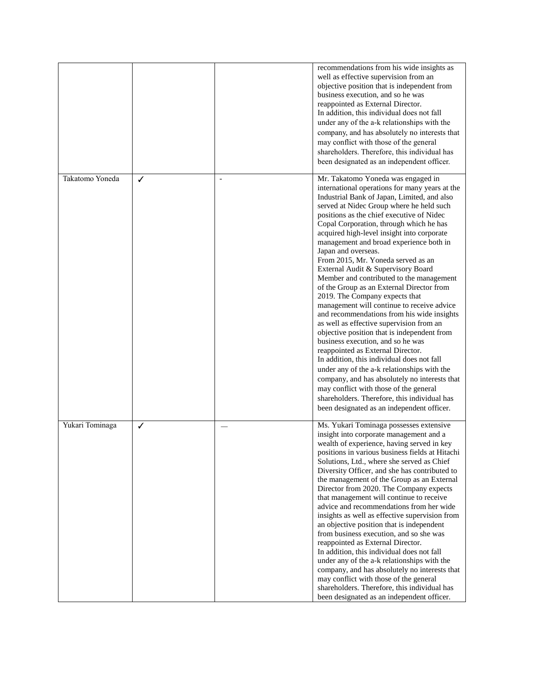|                 |   |                | recommendations from his wide insights as<br>well as effective supervision from an<br>objective position that is independent from<br>business execution, and so he was<br>reappointed as External Director.<br>In addition, this individual does not fall<br>under any of the a-k relationships with the<br>company, and has absolutely no interests that<br>may conflict with those of the general<br>shareholders. Therefore, this individual has<br>been designated as an independent officer.                                                                                                                                                                                                                                                                                                                                                                                                                                                                                                                                                                                                                                                     |
|-----------------|---|----------------|-------------------------------------------------------------------------------------------------------------------------------------------------------------------------------------------------------------------------------------------------------------------------------------------------------------------------------------------------------------------------------------------------------------------------------------------------------------------------------------------------------------------------------------------------------------------------------------------------------------------------------------------------------------------------------------------------------------------------------------------------------------------------------------------------------------------------------------------------------------------------------------------------------------------------------------------------------------------------------------------------------------------------------------------------------------------------------------------------------------------------------------------------------|
| Takatomo Yoneda | ✓ | $\overline{a}$ | Mr. Takatomo Yoneda was engaged in<br>international operations for many years at the<br>Industrial Bank of Japan, Limited, and also<br>served at Nidec Group where he held such<br>positions as the chief executive of Nidec<br>Copal Corporation, through which he has<br>acquired high-level insight into corporate<br>management and broad experience both in<br>Japan and overseas.<br>From 2015, Mr. Yoneda served as an<br>External Audit & Supervisory Board<br>Member and contributed to the management<br>of the Group as an External Director from<br>2019. The Company expects that<br>management will continue to receive advice<br>and recommendations from his wide insights<br>as well as effective supervision from an<br>objective position that is independent from<br>business execution, and so he was<br>reappointed as External Director.<br>In addition, this individual does not fall<br>under any of the a-k relationships with the<br>company, and has absolutely no interests that<br>may conflict with those of the general<br>shareholders. Therefore, this individual has<br>been designated as an independent officer. |
| Yukari Tominaga | ✓ |                | Ms. Yukari Tominaga possesses extensive<br>insight into corporate management and a<br>wealth of experience, having served in key<br>positions in various business fields at Hitachi<br>Solutions, Ltd., where she served as Chief<br>Diversity Officer, and she has contributed to<br>the management of the Group as an External<br>Director from 2020. The Company expects<br>that management will continue to receive<br>advice and recommendations from her wide<br>insights as well as effective supervision from<br>an objective position that is independent<br>from business execution, and so she was<br>reappointed as External Director.<br>In addition, this individual does not fall<br>under any of the a-k relationships with the<br>company, and has absolutely no interests that<br>may conflict with those of the general<br>shareholders. Therefore, this individual has<br>been designated as an independent officer.                                                                                                                                                                                                              |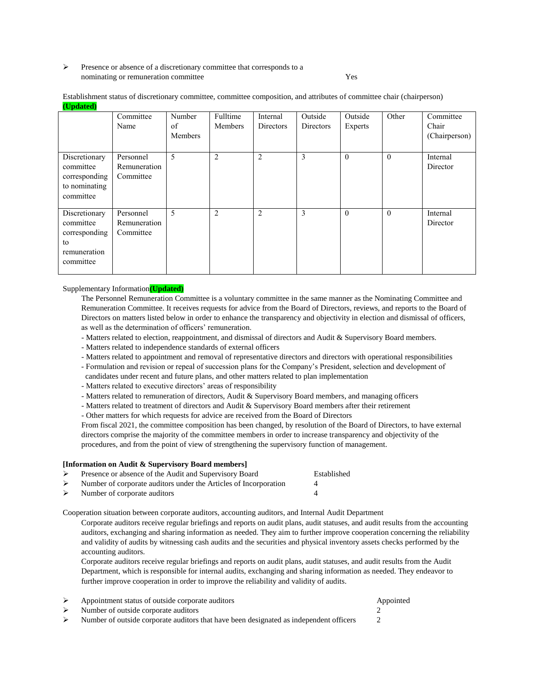#### Presence or absence of a discretionary committee that corresponds to a nominating or remuneration committee Test Ves

Establishment status of discretionary committee, committee composition, and attributes of committee chair (chairperson) **(Updated)**

|                                                                                | Committee<br>Name                      | Number<br>of<br>Members | Fulltime<br>Members | Internal<br>Directors | Outside<br>Directors | Outside<br>Experts | Other    | Committee<br>Chair<br>(Chairperson) |
|--------------------------------------------------------------------------------|----------------------------------------|-------------------------|---------------------|-----------------------|----------------------|--------------------|----------|-------------------------------------|
| Discretionary<br>committee<br>corresponding<br>to nominating<br>committee      | Personnel<br>Remuneration<br>Committee | 5                       | $\overline{c}$      | 2                     | 3                    | $\theta$           | $\theta$ | Internal<br>Director                |
| Discretionary<br>committee<br>corresponding<br>to<br>remuneration<br>committee | Personnel<br>Remuneration<br>Committee | 5                       | $\overline{2}$      | 2                     | 3                    | $\theta$           | $\theta$ | Internal<br>Director                |

Supplementary Information**(Updated)**

The Personnel Remuneration Committee is a voluntary committee in the same manner as the Nominating Committee and Remuneration Committee. It receives requests for advice from the Board of Directors, reviews, and reports to the Board of Directors on matters listed below in order to enhance the transparency and objectivity in election and dismissal of officers, as well as the determination of officers' remuneration.

- Matters related to election, reappointment, and dismissal of directors and Audit & Supervisory Board members.
- Matters related to independence standards of external officers
- Matters related to appointment and removal of representative directors and directors with operational responsibilities
- Formulation and revision or repeal of succession plans for the Company's President, selection and development of
- candidates under recent and future plans, and other matters related to plan implementation
- Matters related to executive directors' areas of responsibility
- Matters related to remuneration of directors, Audit & Supervisory Board members, and managing officers
- Matters related to treatment of directors and Audit & Supervisory Board members after their retirement

- Other matters for which requests for advice are received from the Board of Directors

From fiscal 2021, the committee composition has been changed, by resolution of the Board of Directors, to have external directors comprise the majority of the committee members in order to increase transparency and objectivity of the procedures, and from the point of view of strengthening the supervisory function of management.

|                  | [Information on Audit & Supervisory Board members]               |             |  |  |  |  |
|------------------|------------------------------------------------------------------|-------------|--|--|--|--|
|                  | Presence or absence of the Audit and Supervisory Board           | Established |  |  |  |  |
| $\triangleright$ | Number of corporate auditors under the Articles of Incorporation | 4           |  |  |  |  |
|                  | $\triangleright$ Number of corporate auditors                    | Δ           |  |  |  |  |

Cooperation situation between corporate auditors, accounting auditors, and Internal Audit Department

Corporate auditors receive regular briefings and reports on audit plans, audit statuses, and audit results from the accounting auditors, exchanging and sharing information as needed. They aim to further improve cooperation concerning the reliability and validity of audits by witnessing cash audits and the securities and physical inventory assets checks performed by the accounting auditors.

Corporate auditors receive regular briefings and reports on audit plans, audit statuses, and audit results from the Audit Department, which is responsible for internal audits, exchanging and sharing information as needed. They endeavor to further improve cooperation in order to improve the reliability and validity of audits.

| Appointment status of outside corporate auditors                                       | Appointed |
|----------------------------------------------------------------------------------------|-----------|
| Number of outside corporate auditors                                                   |           |
| Number of outside corporate auditors that have been designated as independent officers |           |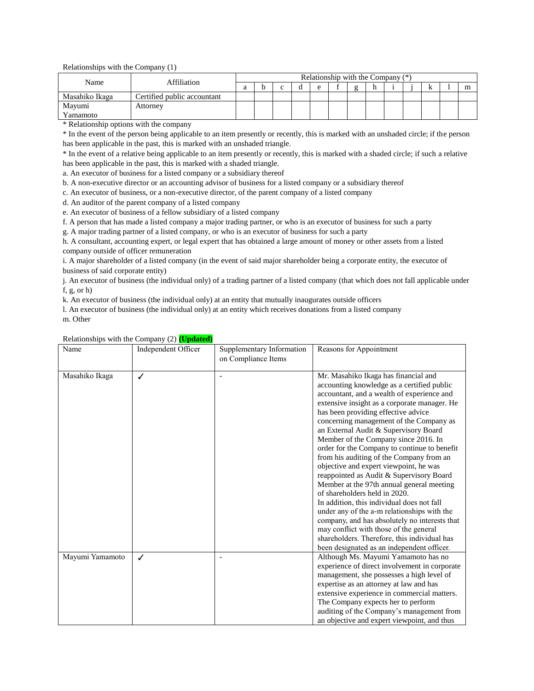Relationships with the Company (1)

| Affiliation<br>Name |                             | Relationship with the Company $(*)$ |  |  |  |  |  |  |  |  |   |  |
|---------------------|-----------------------------|-------------------------------------|--|--|--|--|--|--|--|--|---|--|
|                     |                             |                                     |  |  |  |  |  |  |  |  | A |  |
| Masahiko Ikaga      | Certified public accountant |                                     |  |  |  |  |  |  |  |  |   |  |
| Mayumi              | Attorney                    |                                     |  |  |  |  |  |  |  |  |   |  |
| Vamamoto            |                             |                                     |  |  |  |  |  |  |  |  |   |  |

\* Relationship options with the company

\* In the event of the person being applicable to an item presently or recently, this is marked with an unshaded circle; if the person has been applicable in the past, this is marked with an unshaded triangle.

\* In the event of a relative being applicable to an item presently or recently, this is marked with a shaded circle; if such a relative has been applicable in the past, this is marked with a shaded triangle.

a. An executor of business for a listed company or a subsidiary thereof

b. A non-executive director or an accounting advisor of business for a listed company or a subsidiary thereof

c. An executor of business, or a non-executive director, of the parent company of a listed company

d. An auditor of the parent company of a listed company

e. An executor of business of a fellow subsidiary of a listed company

f. A person that has made a listed company a major trading partner, or who is an executor of business for such a party

g. A major trading partner of a listed company, or who is an executor of business for such a party

h. A consultant, accounting expert, or legal expert that has obtained a large amount of money or other assets from a listed company outside of officer remuneration

i. A major shareholder of a listed company (in the event of said major shareholder being a corporate entity, the executor of business of said corporate entity)

j. An executor of business (the individual only) of a trading partner of a listed company (that which does not fall applicable under f, g, or h)

k. An executor of business (the individual only) at an entity that mutually inaugurates outside officers

l. An executor of business (the individual only) at an entity which receives donations from a listed company

|  | /Ine<br>r |
|--|-----------|
|--|-----------|

| Name            | Relationships with the Company $(2)$ (Updated)<br>Independent Officer | Supplementary Information | Reasons for Appointment                       |
|-----------------|-----------------------------------------------------------------------|---------------------------|-----------------------------------------------|
|                 |                                                                       | on Compliance Items       |                                               |
|                 |                                                                       |                           |                                               |
| Masahiko Ikaga  | ✓                                                                     |                           | Mr. Masahiko Ikaga has financial and          |
|                 |                                                                       |                           | accounting knowledge as a certified public    |
|                 |                                                                       |                           | accountant, and a wealth of experience and    |
|                 |                                                                       |                           | extensive insight as a corporate manager. He  |
|                 |                                                                       |                           | has been providing effective advice           |
|                 |                                                                       |                           | concerning management of the Company as       |
|                 |                                                                       |                           | an External Audit & Supervisory Board         |
|                 |                                                                       |                           | Member of the Company since 2016. In          |
|                 |                                                                       |                           | order for the Company to continue to benefit  |
|                 |                                                                       |                           | from his auditing of the Company from an      |
|                 |                                                                       |                           | objective and expert viewpoint, he was        |
|                 |                                                                       |                           | reappointed as Audit & Supervisory Board      |
|                 |                                                                       |                           | Member at the 97th annual general meeting     |
|                 |                                                                       |                           | of shareholders held in 2020.                 |
|                 |                                                                       |                           | In addition, this individual does not fall    |
|                 |                                                                       |                           | under any of the a-m relationships with the   |
|                 |                                                                       |                           | company, and has absolutely no interests that |
|                 |                                                                       |                           | may conflict with those of the general        |
|                 |                                                                       |                           | shareholders. Therefore, this individual has  |
|                 |                                                                       |                           | been designated as an independent officer.    |
| Mayumi Yamamoto | ✓                                                                     |                           | Although Ms. Mayumi Yamamoto has no           |
|                 |                                                                       |                           | experience of direct involvement in corporate |
|                 |                                                                       |                           | management, she possesses a high level of     |
|                 |                                                                       |                           | expertise as an attorney at law and has       |
|                 |                                                                       |                           | extensive experience in commercial matters.   |
|                 |                                                                       |                           | The Company expects her to perform            |
|                 |                                                                       |                           | auditing of the Company's management from     |
|                 |                                                                       |                           | an objective and expert viewpoint, and thus   |

#### Relationships with the Company (2) **(Updated)**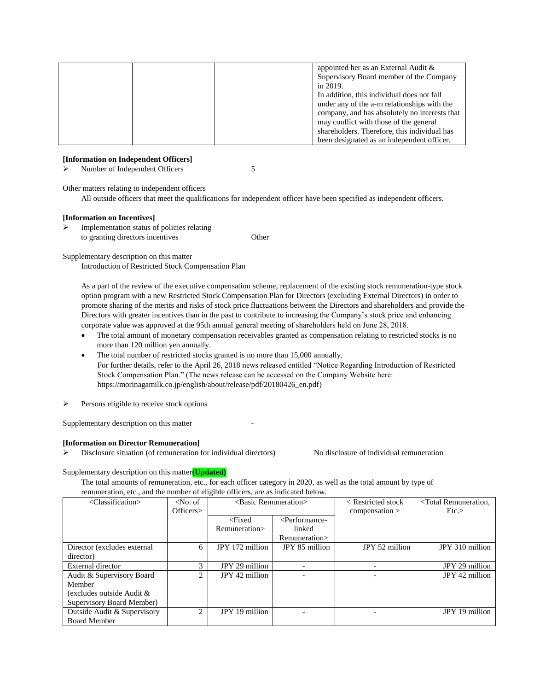|  | appointed her as an External Audit $\&$       |
|--|-----------------------------------------------|
|  | Supervisory Board member of the Company       |
|  | in 2019.                                      |
|  | In addition, this individual does not fall    |
|  | under any of the a-m relationships with the   |
|  | company, and has absolutely no interests that |
|  | may conflict with those of the general        |
|  | shareholders. Therefore, this individual has  |
|  | been designated as an independent officer.    |

#### **[Information on Independent Officers]**

Number of Independent Officers 5

Other matters relating to independent officers

All outside officers that meet the qualifications for independent officer have been specified as independent officers.

#### **[Information on Incentives]**

 $\triangleright$  Implementation status of policies relating to granting directors incentives Other

Supplementary description on this matter

Introduction of Restricted Stock Compensation Plan

As a part of the review of the executive compensation scheme, replacement of the existing stock remuneration-type stock option program with a new Restricted Stock Compensation Plan for Directors (excluding External Directors) in order to promote sharing of the merits and risks of stock price fluctuations between the Directors and shareholders and provide the Directors with greater incentives than in the past to contribute to increasing the Company's stock price and enhancing corporate value was approved at the 95th annual general meeting of shareholders held on June 28, 2018.

- The total amount of monetary compensation receivables granted as compensation relating to restricted stocks is no more than 120 million yen annually.
- The total number of restricted stocks granted is no more than 15,000 annually. For further details, refer to the April 26, 2018 news released entitled "Notice Regarding Introduction of Restricted Stock Compensation Plan." (The news release can be accessed on the Company Website here: https://morinagamilk.co.jp/english/about/release/pdf/20180426\_en.pdf)
- $\triangleright$  Persons eligible to receive stock options

Supplementary description on this matter

#### **[Information on Director Remuneration]**

 $\triangleright$  Disclosure situation (of remuneration for individual directors) No disclosure of individual remuneration

Supplementary description on this matter**(Updated)**

The total amounts of remuneration, etc., for each officer category in 2020, as well as the total amount by type of remuneration, etc., and the number of eligible officers, are as indicated below.

| <classification></classification> | $\langle$ No. of | <basic remuneration=""></basic> |                                                         | $\leq$ Restricted stock | <total remuneration,<="" th=""></total> |
|-----------------------------------|------------------|---------------------------------|---------------------------------------------------------|-------------------------|-----------------------------------------|
|                                   | Officers>        |                                 |                                                         | compensation            | Etc.                                    |
|                                   |                  | $<$ Fixed                       | <performance-< td=""><td></td><td></td></performance-<> |                         |                                         |
|                                   |                  | Remuneration>                   | linked                                                  |                         |                                         |
|                                   |                  |                                 | Remuneration>                                           |                         |                                         |
| Director (excludes external       | 6                | JPY 172 million                 | JPY 85 million                                          | JPY 52 million          | JPY 310 million                         |
| director)                         |                  |                                 |                                                         |                         |                                         |
| External director                 | $\mathcal{E}$    | JPY 29 million                  |                                                         |                         | JPY 29 million                          |
| Audit & Supervisory Board         | $\mathfrak{2}$   | JPY 42 million                  |                                                         |                         | JPY 42 million                          |
| Member                            |                  |                                 |                                                         |                         |                                         |
| (excludes outside Audit &         |                  |                                 |                                                         |                         |                                         |
| Supervisory Board Member)         |                  |                                 |                                                         |                         |                                         |
| Outside Audit & Supervisory       | $\overline{2}$   | JPY 19 million                  |                                                         |                         | JPY 19 million                          |
| <b>Board Member</b>               |                  |                                 |                                                         |                         |                                         |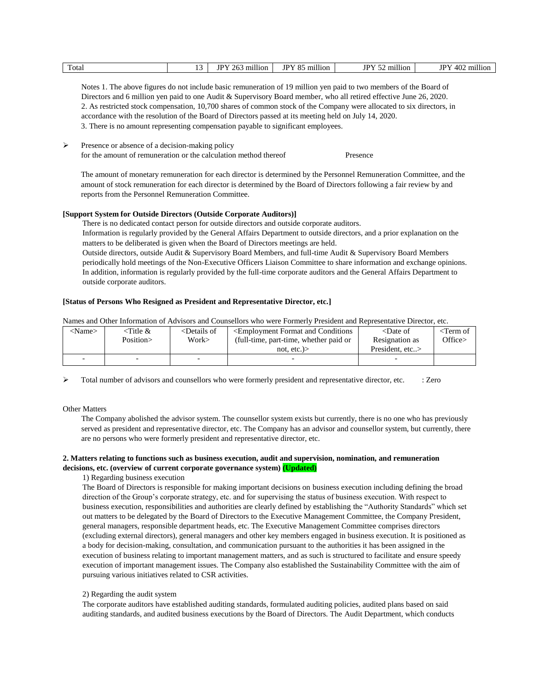| <br><br>$\cdots$<br>$\cdots$<br>IDV<br>$T_{\rm D}V$ 50<br>Total<br>70E<br>402<br><b>IDV</b><br>- -<br>TD٦<br>ገሬ.<br>million<br>million<br>million<br>million<br>∩.<br>.<br>Jı<br>$\cdots$ |
|-------------------------------------------------------------------------------------------------------------------------------------------------------------------------------------------|
|-------------------------------------------------------------------------------------------------------------------------------------------------------------------------------------------|

Notes 1. The above figures do not include basic remuneration of 19 million yen paid to two members of the Board of Directors and 6 million yen paid to one Audit & Supervisory Board member, who all retired effective June 26, 2020. 2. As restricted stock compensation, 10,700 shares of common stock of the Company were allocated to six directors, in accordance with the resolution of the Board of Directors passed at its meeting held on July 14, 2020. 3. There is no amount representing compensation payable to significant employees.

 Presence or absence of a decision-making policy for the amount of remuneration or the calculation method thereof Presence

The amount of monetary remuneration for each director is determined by the Personnel Remuneration Committee, and the amount of stock remuneration for each director is determined by the Board of Directors following a fair review by and reports from the Personnel Remuneration Committee.

## **[Support System for Outside Directors (Outside Corporate Auditors)]**

There is no dedicated contact person for outside directors and outside corporate auditors. Information is regularly provided by the General Affairs Department to outside directors, and a prior explanation on the matters to be deliberated is given when the Board of Directors meetings are held. Outside directors, outside Audit & Supervisory Board Members, and full-time Audit & Supervisory Board Members periodically hold meetings of the Non-Executive Officers Liaison Committee to share information and exchange opinions. In addition, information is regularly provided by the full-time corporate auditors and the General Affairs Department to outside corporate auditors.

#### **[Status of Persons Who Resigned as President and Representative Director, etc.]**

Names and Other Information of Advisors and Counsellors who were Formerly President and Representative Director, etc.

| <name></name> | <title &<="" th=""><th><details of<="" th=""><th><employment and="" conditions<="" format="" th=""><th><math>\triangle</math>Date of</th><th><term of<="" th=""></term></th></employment></th></details></th></title> | <details of<="" th=""><th><employment and="" conditions<="" format="" th=""><th><math>\triangle</math>Date of</th><th><term of<="" th=""></term></th></employment></th></details> | <employment and="" conditions<="" format="" th=""><th><math>\triangle</math>Date of</th><th><term of<="" th=""></term></th></employment> | $\triangle$ Date of | <term of<="" th=""></term> |
|---------------|-----------------------------------------------------------------------------------------------------------------------------------------------------------------------------------------------------------------------|-----------------------------------------------------------------------------------------------------------------------------------------------------------------------------------|------------------------------------------------------------------------------------------------------------------------------------------|---------------------|----------------------------|
|               | Position>                                                                                                                                                                                                             | Work>                                                                                                                                                                             | (full-time, part-time, whether paid or)                                                                                                  | Resignation as      | Office>                    |
|               |                                                                                                                                                                                                                       |                                                                                                                                                                                   | not. $etc.$ )                                                                                                                            | President. etc>     |                            |
|               |                                                                                                                                                                                                                       | $\overline{\phantom{0}}$                                                                                                                                                          |                                                                                                                                          |                     |                            |

 $\triangleright$  Total number of advisors and counsellors who were formerly president and representative director, etc. : Zero

Other Matters

The Company abolished the advisor system. The counsellor system exists but currently, there is no one who has previously served as president and representative director, etc. The Company has an advisor and counsellor system, but currently, there are no persons who were formerly president and representative director, etc.

#### **2. Matters relating to functions such as business execution, audit and supervision, nomination, and remuneration decisions, etc. (overview of current corporate governance system) (Updated)**

1) Regarding business execution

The Board of Directors is responsible for making important decisions on business execution including defining the broad direction of the Group's corporate strategy, etc. and for supervising the status of business execution. With respect to business execution, responsibilities and authorities are clearly defined by establishing the "Authority Standards" which set out matters to be delegated by the Board of Directors to the Executive Management Committee, the Company President, general managers, responsible department heads, etc. The Executive Management Committee comprises directors (excluding external directors), general managers and other key members engaged in business execution. It is positioned as a body for decision-making, consultation, and communication pursuant to the authorities it has been assigned in the execution of business relating to important management matters, and as such is structured to facilitate and ensure speedy execution of important management issues. The Company also established the Sustainability Committee with the aim of pursuing various initiatives related to CSR activities.

#### 2) Regarding the audit system

The corporate auditors have established auditing standards, formulated auditing policies, audited plans based on said auditing standards, and audited business executions by the Board of Directors. The Audit Department, which conducts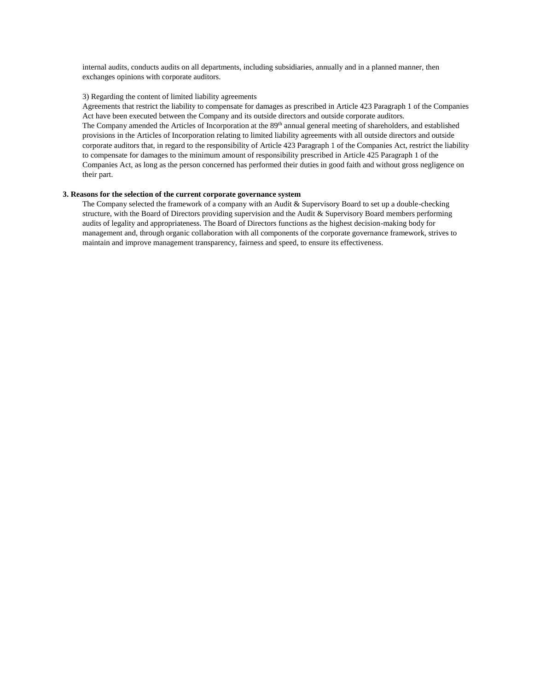internal audits, conducts audits on all departments, including subsidiaries, annually and in a planned manner, then exchanges opinions with corporate auditors.

#### 3) Regarding the content of limited liability agreements

Agreements that restrict the liability to compensate for damages as prescribed in Article 423 Paragraph 1 of the Companies Act have been executed between the Company and its outside directors and outside corporate auditors. The Company amended the Articles of Incorporation at the 89<sup>th</sup> annual general meeting of shareholders, and established provisions in the Articles of Incorporation relating to limited liability agreements with all outside directors and outside corporate auditors that, in regard to the responsibility of Article 423 Paragraph 1 of the Companies Act, restrict the liability to compensate for damages to the minimum amount of responsibility prescribed in Article 425 Paragraph 1 of the Companies Act, as long as the person concerned has performed their duties in good faith and without gross negligence on their part.

#### **3. Reasons for the selection of the current corporate governance system**

The Company selected the framework of a company with an Audit & Supervisory Board to set up a double-checking structure, with the Board of Directors providing supervision and the Audit & Supervisory Board members performing audits of legality and appropriateness. The Board of Directors functions as the highest decision-making body for management and, through organic collaboration with all components of the corporate governance framework, strives to maintain and improve management transparency, fairness and speed, to ensure its effectiveness.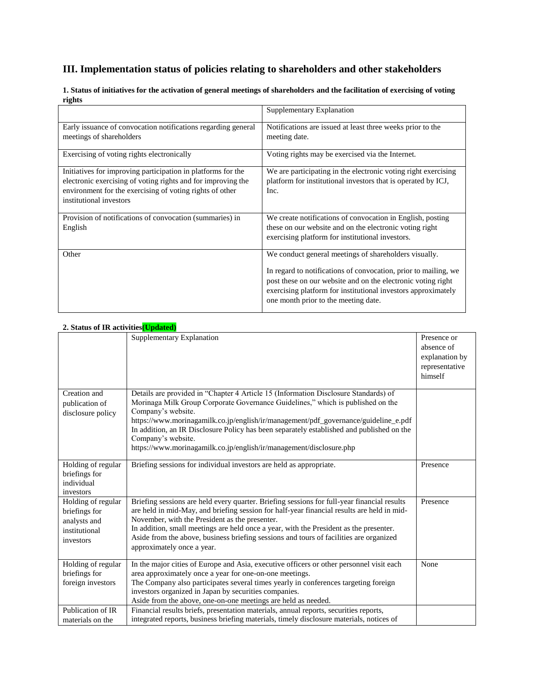# **III. Implementation status of policies relating to shareholders and other stakeholders**

| -                                                                                                                                                                                                                   | Supplementary Explanation                                                                                                                                                                                                                                                                         |
|---------------------------------------------------------------------------------------------------------------------------------------------------------------------------------------------------------------------|---------------------------------------------------------------------------------------------------------------------------------------------------------------------------------------------------------------------------------------------------------------------------------------------------|
| Early issuance of convocation notifications regarding general<br>meetings of shareholders                                                                                                                           | Notifications are issued at least three weeks prior to the<br>meeting date.                                                                                                                                                                                                                       |
| Exercising of voting rights electronically                                                                                                                                                                          | Voting rights may be exercised via the Internet.                                                                                                                                                                                                                                                  |
| Initiatives for improving participation in platforms for the<br>electronic exercising of voting rights and for improving the<br>environment for the exercising of voting rights of other<br>institutional investors | We are participating in the electronic voting right exercising<br>platform for institutional investors that is operated by ICJ,<br>Inc.                                                                                                                                                           |
| Provision of notifications of convocation (summaries) in<br>English                                                                                                                                                 | We create notifications of convocation in English, posting<br>these on our website and on the electronic voting right<br>exercising platform for institutional investors.                                                                                                                         |
| Other                                                                                                                                                                                                               | We conduct general meetings of shareholders visually.<br>In regard to notifications of convocation, prior to mailing, we<br>post these on our website and on the electronic voting right<br>exercising platform for institutional investors approximately<br>one month prior to the meeting date. |

**1. Status of initiatives for the activation of general meetings of shareholders and the facilitation of exercising of voting rights**

# **2. Status of IR activities(Updated)**

| 2. Status of IK activities <mark>(Opuateu)</mark>                                 |                                                                                                                                                                                                                                                                                                                                                                                                                                                                               |                                                                          |
|-----------------------------------------------------------------------------------|-------------------------------------------------------------------------------------------------------------------------------------------------------------------------------------------------------------------------------------------------------------------------------------------------------------------------------------------------------------------------------------------------------------------------------------------------------------------------------|--------------------------------------------------------------------------|
|                                                                                   | Supplementary Explanation                                                                                                                                                                                                                                                                                                                                                                                                                                                     | Presence or<br>absence of<br>explanation by<br>representative<br>himself |
| Creation and<br>publication of<br>disclosure policy                               | Details are provided in "Chapter 4 Article 15 (Information Disclosure Standards) of<br>Morinaga Milk Group Corporate Governance Guidelines," which is published on the<br>Company's website.<br>https://www.morinagamilk.co.jp/english/ir/management/pdf_governance/guideline_e.pdf<br>In addition, an IR Disclosure Policy has been separately established and published on the<br>Company's website.<br>https://www.morinagamilk.co.jp/english/ir/management/disclosure.php |                                                                          |
| Holding of regular<br>briefings for<br>individual<br>investors                    | Briefing sessions for individual investors are held as appropriate.                                                                                                                                                                                                                                                                                                                                                                                                           | Presence                                                                 |
| Holding of regular<br>briefings for<br>analysts and<br>institutional<br>investors | Briefing sessions are held every quarter. Briefing sessions for full-year financial results<br>are held in mid-May, and briefing session for half-year financial results are held in mid-<br>November, with the President as the presenter.<br>In addition, small meetings are held once a year, with the President as the presenter.<br>Aside from the above, business briefing sessions and tours of facilities are organized<br>approximately once a year.                 | Presence                                                                 |
| Holding of regular<br>briefings for<br>foreign investors                          | In the major cities of Europe and Asia, executive officers or other personnel visit each<br>area approximately once a year for one-on-one meetings.<br>The Company also participates several times yearly in conferences targeting foreign<br>investors organized in Japan by securities companies.<br>Aside from the above, one-on-one meetings are held as needed.                                                                                                          | None                                                                     |
| Publication of IR<br>materials on the                                             | Financial results briefs, presentation materials, annual reports, securities reports,<br>integrated reports, business briefing materials, timely disclosure materials, notices of                                                                                                                                                                                                                                                                                             |                                                                          |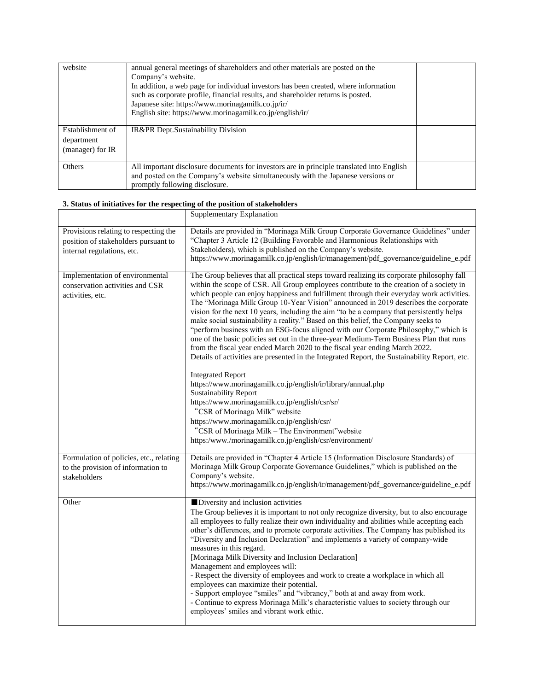| website                                            | annual general meetings of shareholders and other materials are posted on the<br>Company's website.<br>In addition, a web page for individual investors has been created, where information<br>such as corporate profile, financial results, and shareholder returns is posted.<br>Japanese site: https://www.morinagamilk.co.jp/ir/<br>English site: https://www.morinagamilk.co.jp/english/ir/ |  |
|----------------------------------------------------|--------------------------------------------------------------------------------------------------------------------------------------------------------------------------------------------------------------------------------------------------------------------------------------------------------------------------------------------------------------------------------------------------|--|
| Establishment of<br>department<br>(manager) for IR | IR&PR Dept.Sustainability Division                                                                                                                                                                                                                                                                                                                                                               |  |
| Others                                             | All important disclosure documents for investors are in principle translated into English<br>and posted on the Company's website simultaneously with the Japanese versions or<br>promptly following disclosure.                                                                                                                                                                                  |  |

# **3. Status of initiatives for the respecting of the position of stakeholders**

|                                                                                                             | Supplementary Explanation                                                                                                                                                                                                                                                                                                                                                                                                                                                                                                                                                                                                                                                                                                                                                                                                                                                                                                                                                                                                                                                                                                                                                                                                                                                                                 |
|-------------------------------------------------------------------------------------------------------------|-----------------------------------------------------------------------------------------------------------------------------------------------------------------------------------------------------------------------------------------------------------------------------------------------------------------------------------------------------------------------------------------------------------------------------------------------------------------------------------------------------------------------------------------------------------------------------------------------------------------------------------------------------------------------------------------------------------------------------------------------------------------------------------------------------------------------------------------------------------------------------------------------------------------------------------------------------------------------------------------------------------------------------------------------------------------------------------------------------------------------------------------------------------------------------------------------------------------------------------------------------------------------------------------------------------|
| Provisions relating to respecting the<br>position of stakeholders pursuant to<br>internal regulations, etc. | Details are provided in "Morinaga Milk Group Corporate Governance Guidelines" under<br>"Chapter 3 Article 12 (Building Favorable and Harmonious Relationships with<br>Stakeholders), which is published on the Company's website.                                                                                                                                                                                                                                                                                                                                                                                                                                                                                                                                                                                                                                                                                                                                                                                                                                                                                                                                                                                                                                                                         |
|                                                                                                             | https://www.morinagamilk.co.jp/english/ir/management/pdf_governance/guideline_e.pdf                                                                                                                                                                                                                                                                                                                                                                                                                                                                                                                                                                                                                                                                                                                                                                                                                                                                                                                                                                                                                                                                                                                                                                                                                       |
| Implementation of environmental<br>conservation activities and CSR<br>activities, etc.                      | The Group believes that all practical steps toward realizing its corporate philosophy fall<br>within the scope of CSR. All Group employees contribute to the creation of a society in<br>which people can enjoy happiness and fulfillment through their everyday work activities.<br>The "Morinaga Milk Group 10-Year Vision" announced in 2019 describes the corporate<br>vision for the next 10 years, including the aim "to be a company that persistently helps<br>make social sustainability a reality." Based on this belief, the Company seeks to<br>"perform business with an ESG-focus aligned with our Corporate Philosophy," which is<br>one of the basic policies set out in the three-year Medium-Term Business Plan that runs<br>from the fiscal year ended March 2020 to the fiscal year ending March 2022.<br>Details of activities are presented in the Integrated Report, the Sustainability Report, etc.<br><b>Integrated Report</b><br>https://www.morinagamilk.co.jp/english/ir/library/annual.php<br><b>Sustainability Report</b><br>https://www.morinagamilk.co.jp/english/csr/sr/<br>"CSR of Morinaga Milk" website<br>https://www.morinagamilk.co.jp/english/csr/<br>"CSR of Morinaga Milk - The Environment" website<br>https:/www./morinagamilk.co.jp/english/csr/environment/ |
| Formulation of policies, etc., relating                                                                     | Details are provided in "Chapter 4 Article 15 (Information Disclosure Standards) of                                                                                                                                                                                                                                                                                                                                                                                                                                                                                                                                                                                                                                                                                                                                                                                                                                                                                                                                                                                                                                                                                                                                                                                                                       |
| to the provision of information to                                                                          | Morinaga Milk Group Corporate Governance Guidelines," which is published on the<br>Company's website.                                                                                                                                                                                                                                                                                                                                                                                                                                                                                                                                                                                                                                                                                                                                                                                                                                                                                                                                                                                                                                                                                                                                                                                                     |
| stakeholders                                                                                                | https://www.morinagamilk.co.jp/english/ir/management/pdf_governance/guideline_e.pdf                                                                                                                                                                                                                                                                                                                                                                                                                                                                                                                                                                                                                                                                                                                                                                                                                                                                                                                                                                                                                                                                                                                                                                                                                       |
| Other                                                                                                       | Diversity and inclusion activities<br>The Group believes it is important to not only recognize diversity, but to also encourage<br>all employees to fully realize their own individuality and abilities while accepting each<br>other's differences, and to promote corporate activities. The Company has published its<br>"Diversity and Inclusion Declaration" and implements a variety of company-wide<br>measures in this regard.<br>[Morinaga Milk Diversity and Inclusion Declaration]<br>Management and employees will:<br>- Respect the diversity of employees and work to create a workplace in which all<br>employees can maximize their potential.<br>- Support employee "smiles" and "vibrancy," both at and away from work.<br>- Continue to express Morinaga Milk's characteristic values to society through our<br>employees' smiles and vibrant work ethic.                                                                                                                                                                                                                                                                                                                                                                                                                               |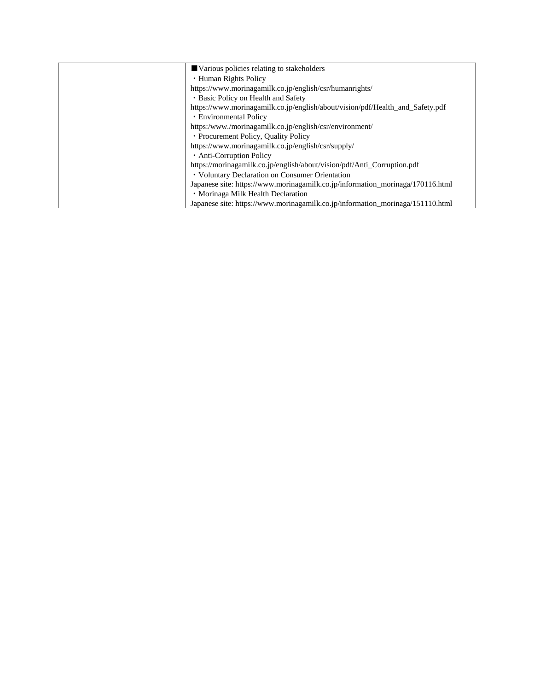| Various policies relating to stakeholders                                      |
|--------------------------------------------------------------------------------|
| • Human Rights Policy                                                          |
| https://www.morinagamilk.co.jp/english/csr/humanrights/                        |
| • Basic Policy on Health and Safety                                            |
| https://www.morinagamilk.co.jp/english/about/vision/pdf/Health_and_Safety.pdf  |
| • Environmental Policy                                                         |
| https:/www./morinagamilk.co.jp/english/csr/environment/                        |
| • Procurement Policy, Quality Policy                                           |
| https://www.morinagamilk.co.jp/english/csr/supply/                             |
| • Anti-Corruption Policy                                                       |
| https://morinagamilk.co.jp/english/about/vision/pdf/Anti_Corruption.pdf        |
| • Voluntary Declaration on Consumer Orientation                                |
| Japanese site: https://www.morinagamilk.co.jp/information_morinaga/170116.html |
| · Morinaga Milk Health Declaration                                             |
| Japanese site: https://www.morinagamilk.co.jp/information_morinaga/151110.html |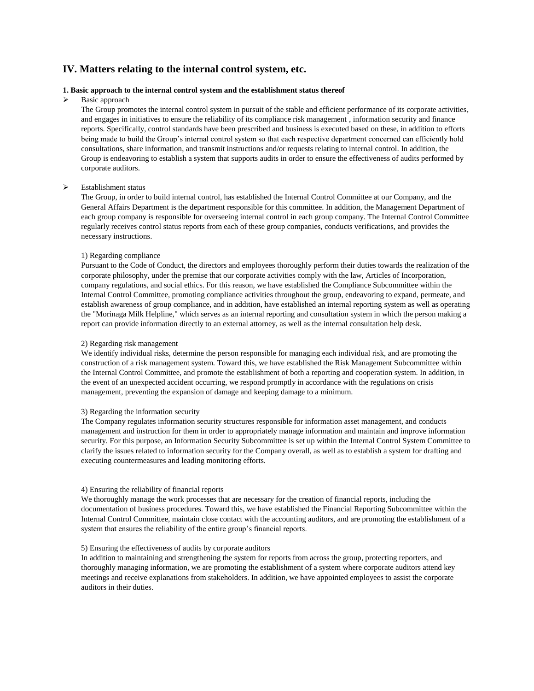# **IV. Matters relating to the internal control system, etc.**

#### **1. Basic approach to the internal control system and the establishment status thereof**

#### Basic approach

The Group promotes the internal control system in pursuit of the stable and efficient performance of its corporate activities, and engages in initiatives to ensure the reliability of its compliance risk management , information security and finance reports. Specifically, control standards have been prescribed and business is executed based on these, in addition to efforts being made to build the Group's internal control system so that each respective department concerned can efficiently hold consultations, share information, and transmit instructions and/or requests relating to internal control. In addition, the Group is endeavoring to establish a system that supports audits in order to ensure the effectiveness of audits performed by corporate auditors.

#### Establishment status

The Group, in order to build internal control, has established the Internal Control Committee at our Company, and the General Affairs Department is the department responsible for this committee. In addition, the Management Department of each group company is responsible for overseeing internal control in each group company. The Internal Control Committee regularly receives control status reports from each of these group companies, conducts verifications, and provides the necessary instructions.

#### 1) Regarding compliance

Pursuant to the Code of Conduct, the directors and employees thoroughly perform their duties towards the realization of the corporate philosophy, under the premise that our corporate activities comply with the law, Articles of Incorporation, company regulations, and social ethics. For this reason, we have established the Compliance Subcommittee within the Internal Control Committee, promoting compliance activities throughout the group, endeavoring to expand, permeate, and establish awareness of group compliance, and in addition, have established an internal reporting system as well as operating the "Morinaga Milk Helpline," which serves as an internal reporting and consultation system in which the person making a report can provide information directly to an external attorney, as well as the internal consultation help desk.

#### 2) Regarding risk management

We identify individual risks, determine the person responsible for managing each individual risk, and are promoting the construction of a risk management system. Toward this, we have established the Risk Management Subcommittee within the Internal Control Committee, and promote the establishment of both a reporting and cooperation system. In addition, in the event of an unexpected accident occurring, we respond promptly in accordance with the regulations on crisis management, preventing the expansion of damage and keeping damage to a minimum.

#### 3) Regarding the information security

The Company regulates information security structures responsible for information asset management, and conducts management and instruction for them in order to appropriately manage information and maintain and improve information security. For this purpose, an Information Security Subcommittee is set up within the Internal Control System Committee to clarify the issues related to information security for the Company overall, as well as to establish a system for drafting and executing countermeasures and leading monitoring efforts.

#### 4) Ensuring the reliability of financial reports

We thoroughly manage the work processes that are necessary for the creation of financial reports, including the documentation of business procedures. Toward this, we have established the Financial Reporting Subcommittee within the Internal Control Committee, maintain close contact with the accounting auditors, and are promoting the establishment of a system that ensures the reliability of the entire group's financial reports.

#### 5) Ensuring the effectiveness of audits by corporate auditors

In addition to maintaining and strengthening the system for reports from across the group, protecting reporters, and thoroughly managing information, we are promoting the establishment of a system where corporate auditors attend key meetings and receive explanations from stakeholders. In addition, we have appointed employees to assist the corporate auditors in their duties.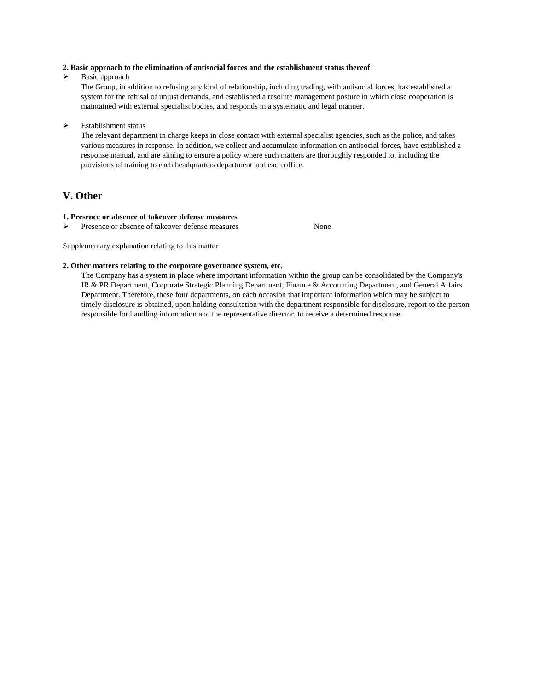#### **2. Basic approach to the elimination of antisocial forces and the establishment status thereof**

 $\triangleright$  Basic approach

The Group, in addition to refusing any kind of relationship, including trading, with antisocial forces, has established a system for the refusal of unjust demands, and established a resolute management posture in which close cooperation is maintained with external specialist bodies, and responds in a systematic and legal manner.

#### Establishment status

The relevant department in charge keeps in close contact with external specialist agencies, such as the police, and takes various measures in response. In addition, we collect and accumulate information on antisocial forces, have established a response manual, and are aiming to ensure a policy where such matters are thoroughly responded to, including the provisions of training to each headquarters department and each office.

# **V. Other**

#### **1. Presence or absence of takeover defense measures**

Presence or absence of takeover defense measures None

Supplementary explanation relating to this matter

#### **2. Other matters relating to the corporate governance system, etc.**

The Company has a system in place where important information within the group can be consolidated by the Company's IR & PR Department, Corporate Strategic Planning Department, Finance & Accounting Department, and General Affairs Department. Therefore, these four departments, on each occasion that important information which may be subject to timely disclosure is obtained, upon holding consultation with the department responsible for disclosure, report to the person responsible for handling information and the representative director, to receive a determined response.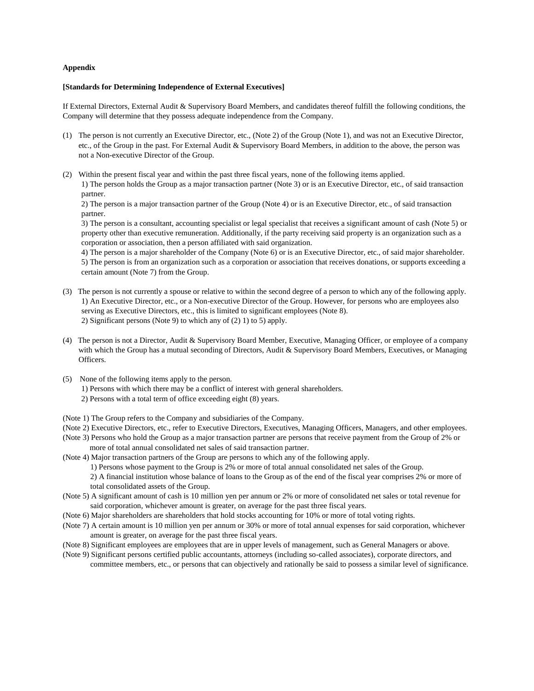#### **Appendix**

#### **[Standards for Determining Independence of External Executives]**

If External Directors, External Audit & Supervisory Board Members, and candidates thereof fulfill the following conditions, the Company will determine that they possess adequate independence from the Company.

- (1) The person is not currently an Executive Director, etc., (Note 2) of the Group (Note 1), and was not an Executive Director, etc., of the Group in the past. For External Audit & Supervisory Board Members, in addition to the above, the person was not a Non-executive Director of the Group.
- (2) Within the present fiscal year and within the past three fiscal years, none of the following items applied. 1) The person holds the Group as a major transaction partner (Note 3) or is an Executive Director, etc., of said transaction partner.

2) The person is a major transaction partner of the Group (Note 4) or is an Executive Director, etc., of said transaction partner.

3) The person is a consultant, accounting specialist or legal specialist that receives a significant amount of cash (Note 5) or property other than executive remuneration. Additionally, if the party receiving said property is an organization such as a corporation or association, then a person affiliated with said organization.

4) The person is a major shareholder of the Company (Note 6) or is an Executive Director, etc., of said major shareholder. 5) The person is from an organization such as a corporation or association that receives donations, or supports exceeding a certain amount (Note 7) from the Group.

- (3) The person is not currently a spouse or relative to within the second degree of a person to which any of the following apply. 1) An Executive Director, etc., or a Non-executive Director of the Group. However, for persons who are employees also serving as Executive Directors, etc., this is limited to significant employees (Note 8). 2) Significant persons (Note 9) to which any of (2) 1) to 5) apply.
- (4) The person is not a Director, Audit & Supervisory Board Member, Executive, Managing Officer, or employee of a company with which the Group has a mutual seconding of Directors, Audit & Supervisory Board Members, Executives, or Managing Officers.
- (5) None of the following items apply to the person. 1) Persons with which there may be a conflict of interest with general shareholders. 2) Persons with a total term of office exceeding eight (8) years.
	-

(Note 1) The Group refers to the Company and subsidiaries of the Company.

- (Note 2) Executive Directors, etc., refer to Executive Directors, Executives, Managing Officers, Managers, and other employees.
- (Note 3) Persons who hold the Group as a major transaction partner are persons that receive payment from the Group of 2% or more of total annual consolidated net sales of said transaction partner.
- (Note 4) Major transaction partners of the Group are persons to which any of the following apply.
	- 1) Persons whose payment to the Group is 2% or more of total annual consolidated net sales of the Group.

2) A financial institution whose balance of loans to the Group as of the end of the fiscal year comprises 2% or more of total consolidated assets of the Group.

- (Note 5) A significant amount of cash is 10 million yen per annum or 2% or more of consolidated net sales or total revenue for said corporation, whichever amount is greater, on average for the past three fiscal years.
- (Note 6) Major shareholders are shareholders that hold stocks accounting for 10% or more of total voting rights.
- (Note 7) A certain amount is 10 million yen per annum or 30% or more of total annual expenses for said corporation, whichever amount is greater, on average for the past three fiscal years.
- (Note 8) Significant employees are employees that are in upper levels of management, such as General Managers or above.
- (Note 9) Significant persons certified public accountants, attorneys (including so-called associates), corporate directors, and committee members, etc., or persons that can objectively and rationally be said to possess a similar level of significance.